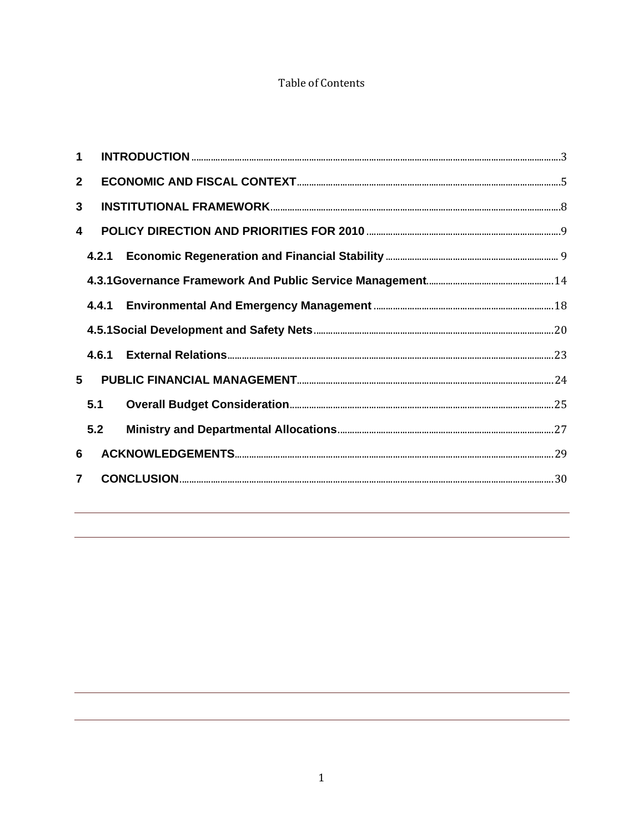#### **Table of Contents**

|                | 1                |  |  |  |  |
|----------------|------------------|--|--|--|--|
| $\overline{2}$ |                  |  |  |  |  |
| $\mathbf{3}$   |                  |  |  |  |  |
|                | $\blacktriangle$ |  |  |  |  |
|                |                  |  |  |  |  |
|                |                  |  |  |  |  |
|                |                  |  |  |  |  |
|                |                  |  |  |  |  |
|                |                  |  |  |  |  |
| 5 <sup>5</sup> |                  |  |  |  |  |
|                | 5.1              |  |  |  |  |
|                | 5.2              |  |  |  |  |
| 6              |                  |  |  |  |  |
|                | $\overline{7}$   |  |  |  |  |
|                |                  |  |  |  |  |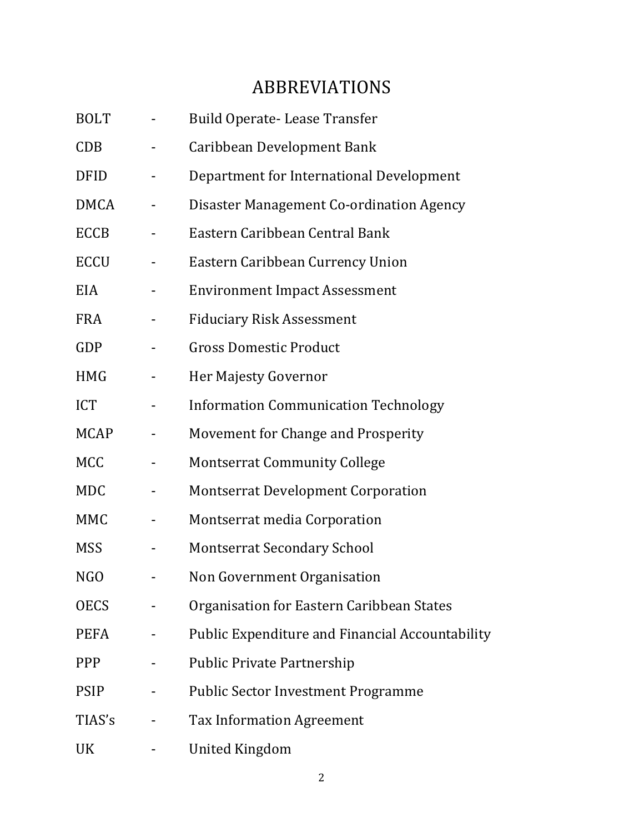# ABBREVIATIONS

| <b>BOLT</b> | <b>Build Operate-Lease Transfer</b>             |
|-------------|-------------------------------------------------|
| CDB         | Caribbean Development Bank                      |
| <b>DFID</b> | Department for International Development        |
| <b>DMCA</b> | Disaster Management Co-ordination Agency        |
| <b>ECCB</b> | Eastern Caribbean Central Bank                  |
| <b>ECCU</b> | Eastern Caribbean Currency Union                |
| EIA         | <b>Environment Impact Assessment</b>            |
| <b>FRA</b>  | <b>Fiduciary Risk Assessment</b>                |
| <b>GDP</b>  | <b>Gross Domestic Product</b>                   |
| <b>HMG</b>  | Her Majesty Governor                            |
| <b>ICT</b>  | <b>Information Communication Technology</b>     |
| <b>MCAP</b> | Movement for Change and Prosperity              |
| <b>MCC</b>  | <b>Montserrat Community College</b>             |
| <b>MDC</b>  | <b>Montserrat Development Corporation</b>       |
| <b>MMC</b>  | Montserrat media Corporation                    |
| <b>MSS</b>  | <b>Montserrat Secondary School</b>              |
| NGO         | Non Government Organisation                     |
| <b>OECS</b> | Organisation for Eastern Caribbean States       |
| <b>PEFA</b> | Public Expenditure and Financial Accountability |
| <b>PPP</b>  | <b>Public Private Partnership</b>               |
| <b>PSIP</b> | <b>Public Sector Investment Programme</b>       |
| TIAS's      | <b>Tax Information Agreement</b>                |
| UK          | <b>United Kingdom</b>                           |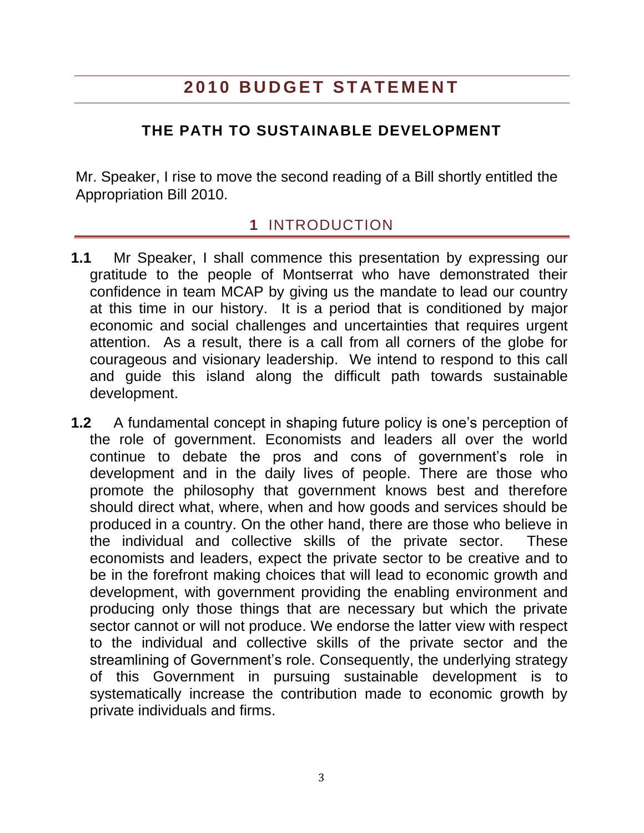## **2 0 1 0 B U D G E T S T A T E M E N T**

### **THE PATH TO SUSTAINABLE DEVELOPMENT**

Mr. Speaker, I rise to move the second reading of a Bill shortly entitled the Appropriation Bill 2010.

### **1** INTRODUCTION

- <span id="page-2-0"></span>**1.1** Mr Speaker, I shall commence this presentation by expressing our gratitude to the people of Montserrat who have demonstrated their confidence in team MCAP by giving us the mandate to lead our country at this time in our history. It is a period that is conditioned by major economic and social challenges and uncertainties that requires urgent attention. As a result, there is a call from all corners of the globe for courageous and visionary leadership. We intend to respond to this call and guide this island along the difficult path towards sustainable development.
- **1.2** A fundamental concept in shaping future policy is one"s perception of the role of government. Economists and leaders all over the world continue to debate the pros and cons of government"s role in development and in the daily lives of people. There are those who promote the philosophy that government knows best and therefore should direct what, where, when and how goods and services should be produced in a country. On the other hand, there are those who believe in the individual and collective skills of the private sector. These economists and leaders, expect the private sector to be creative and to be in the forefront making choices that will lead to economic growth and development, with government providing the enabling environment and producing only those things that are necessary but which the private sector cannot or will not produce. We endorse the latter view with respect to the individual and collective skills of the private sector and the streamlining of Government's role. Consequently, the underlying strategy of this Government in pursuing sustainable development is to systematically increase the contribution made to economic growth by private individuals and firms.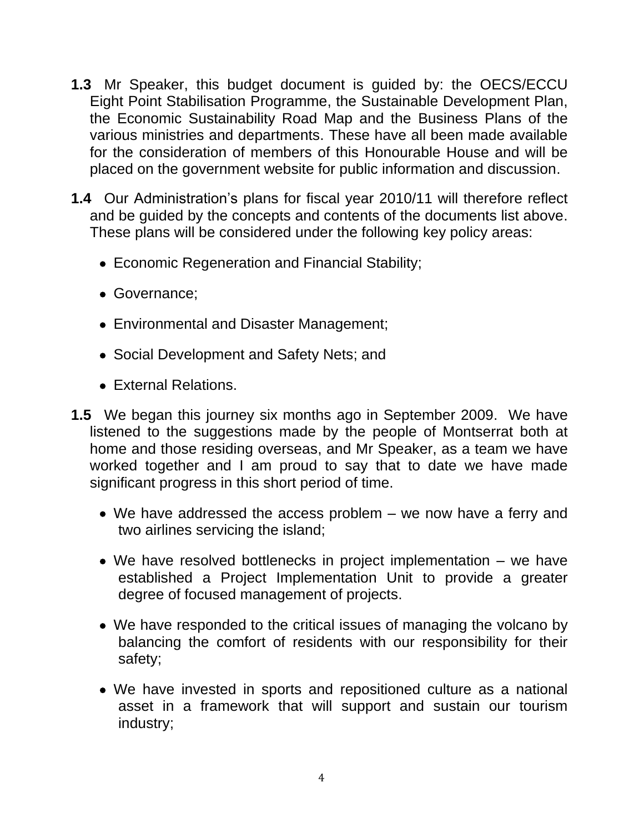- **1.3** Mr Speaker, this budget document is guided by: the OECS/ECCU Eight Point Stabilisation Programme, the Sustainable Development Plan, the Economic Sustainability Road Map and the Business Plans of the various ministries and departments. These have all been made available for the consideration of members of this Honourable House and will be placed on the government website for public information and discussion.
- **1.4** Our Administration"s plans for fiscal year 2010/11 will therefore reflect and be guided by the concepts and contents of the documents list above. These plans will be considered under the following key policy areas:
	- Economic Regeneration and Financial Stability;
	- Governance;
	- Environmental and Disaster Management;
	- Social Development and Safety Nets; and
	- External Relations.
- **1.5** We began this journey six months ago in September 2009. We have listened to the suggestions made by the people of Montserrat both at home and those residing overseas, and Mr Speaker, as a team we have worked together and I am proud to say that to date we have made significant progress in this short period of time.
	- We have addressed the access problem we now have a ferry and two airlines servicing the island;
	- We have resolved bottlenecks in project implementation we have established a Project Implementation Unit to provide a greater degree of focused management of projects.
	- We have responded to the critical issues of managing the volcano by balancing the comfort of residents with our responsibility for their safety;
	- We have invested in sports and repositioned culture as a national asset in a framework that will support and sustain our tourism industry;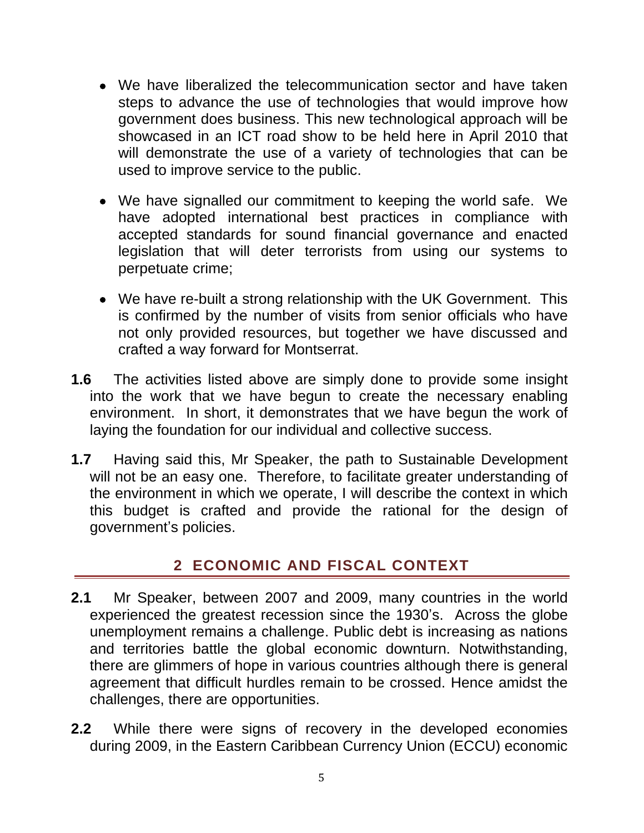- We have liberalized the telecommunication sector and have taken steps to advance the use of technologies that would improve how government does business. This new technological approach will be showcased in an ICT road show to be held here in April 2010 that will demonstrate the use of a variety of technologies that can be used to improve service to the public.
- We have signalled our commitment to keeping the world safe. We have adopted international best practices in compliance with accepted standards for sound financial governance and enacted legislation that will deter terrorists from using our systems to perpetuate crime;
- We have re-built a strong relationship with the UK Government. This is confirmed by the number of visits from senior officials who have not only provided resources, but together we have discussed and crafted a way forward for Montserrat.
- **1.6** The activities listed above are simply done to provide some insight into the work that we have begun to create the necessary enabling environment. In short, it demonstrates that we have begun the work of laying the foundation for our individual and collective success.
- **1.7** Having said this, Mr Speaker, the path to Sustainable Development will not be an easy one. Therefore, to facilitate greater understanding of the environment in which we operate, I will describe the context in which this budget is crafted and provide the rational for the design of government"s policies.

### **2 ECONOMIC AND FISCAL CONTEXT**

- <span id="page-4-0"></span>**2.1** Mr Speaker, between 2007 and 2009, many countries in the world experienced the greatest recession since the 1930"s. Across the globe unemployment remains a challenge. Public debt is increasing as nations and territories battle the global economic downturn. Notwithstanding, there are glimmers of hope in various countries although there is general agreement that difficult hurdles remain to be crossed. Hence amidst the challenges, there are opportunities.
- **2.2** While there were signs of recovery in the developed economies during 2009, in the Eastern Caribbean Currency Union (ECCU) economic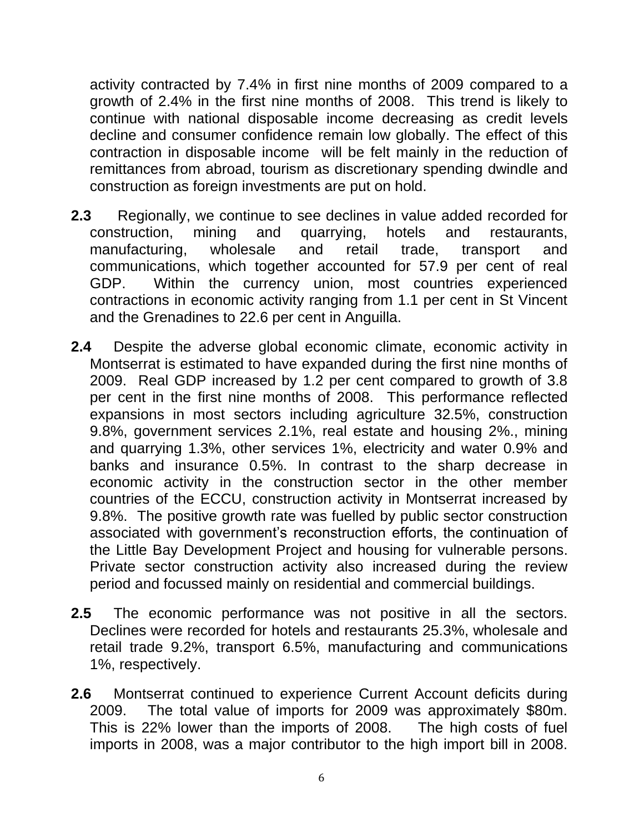activity contracted by 7.4% in first nine months of 2009 compared to a growth of 2.4% in the first nine months of 2008. This trend is likely to continue with national disposable income decreasing as credit levels decline and consumer confidence remain low globally. The effect of this contraction in disposable income will be felt mainly in the reduction of remittances from abroad, tourism as discretionary spending dwindle and construction as foreign investments are put on hold.

- **2.3** Regionally, we continue to see declines in value added recorded for construction, mining and quarrying, hotels and restaurants, manufacturing, wholesale and retail trade, transport and communications, which together accounted for 57.9 per cent of real GDP. Within the currency union, most countries experienced contractions in economic activity ranging from 1.1 per cent in St Vincent and the Grenadines to 22.6 per cent in Anguilla.
- **2.4** Despite the adverse global economic climate, economic activity in Montserrat is estimated to have expanded during the first nine months of 2009. Real GDP increased by 1.2 per cent compared to growth of 3.8 per cent in the first nine months of 2008. This performance reflected expansions in most sectors including agriculture 32.5%, construction 9.8%, government services 2.1%, real estate and housing 2%., mining and quarrying 1.3%, other services 1%, electricity and water 0.9% and banks and insurance 0.5%. In contrast to the sharp decrease in economic activity in the construction sector in the other member countries of the ECCU, construction activity in Montserrat increased by 9.8%. The positive growth rate was fuelled by public sector construction associated with government's reconstruction efforts, the continuation of the Little Bay Development Project and housing for vulnerable persons. Private sector construction activity also increased during the review period and focussed mainly on residential and commercial buildings.
- **2.5** The economic performance was not positive in all the sectors. Declines were recorded for hotels and restaurants 25.3%, wholesale and retail trade 9.2%, transport 6.5%, manufacturing and communications 1%, respectively.
- **2.6** Montserrat continued to experience Current Account deficits during 2009. The total value of imports for 2009 was approximately \$80m. This is 22% lower than the imports of 2008. The high costs of fuel imports in 2008, was a major contributor to the high import bill in 2008.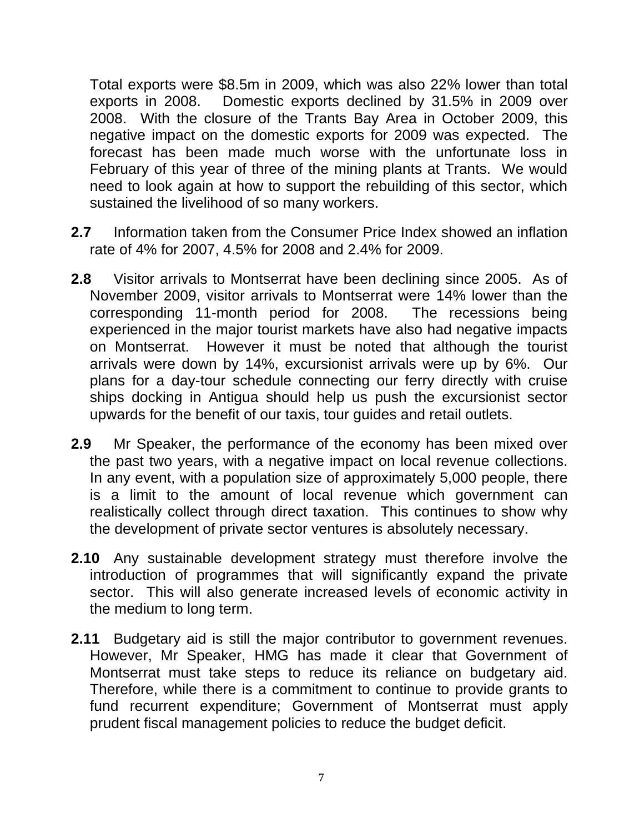Total exports were \$8.5m in 2009, which was also 22% lower than total exports in 2008. Domestic exports declined by 31.5% in 2009 over 2008. With the closure of the Trants Bay Area in October 2009, this negative impact on the domestic exports for 2009 was expected. The forecast has been made much worse with the unfortunate loss in February of this year of three of the mining plants at Trants. We would need to look again at how to support the rebuilding of this sector, which sustained the livelihood of so many workers.

- **2.7** Information taken from the Consumer Price Index showed an inflation rate of 4% for 2007, 4.5% for 2008 and 2.4% for 2009.
- **2.8** Visitor arrivals to Montserrat have been declining since 2005. As of November 2009, visitor arrivals to Montserrat were 14% lower than the corresponding 11-month period for 2008. The recessions being corresponding 11-month period for 2008. experienced in the major tourist markets have also had negative impacts on Montserrat. However it must be noted that although the tourist arrivals were down by 14%, excursionist arrivals were up by 6%. Our plans for a day-tour schedule connecting our ferry directly with cruise ships docking in Antigua should help us push the excursionist sector upwards for the benefit of our taxis, tour guides and retail outlets.
- **2.9** Mr Speaker, the performance of the economy has been mixed over the past two years, with a negative impact on local revenue collections. In any event, with a population size of approximately 5,000 people, there is a limit to the amount of local revenue which government can realistically collect through direct taxation. This continues to show why the development of private sector ventures is absolutely necessary.
- **2.10** Any sustainable development strategy must therefore involve the introduction of programmes that will significantly expand the private sector. This will also generate increased levels of economic activity in the medium to long term.
- **2.11** Budgetary aid is still the major contributor to government revenues. However, Mr Speaker, HMG has made it clear that Government of Montserrat must take steps to reduce its reliance on budgetary aid. Therefore, while there is a commitment to continue to provide grants to fund recurrent expenditure; Government of Montserrat must apply prudent fiscal management policies to reduce the budget deficit.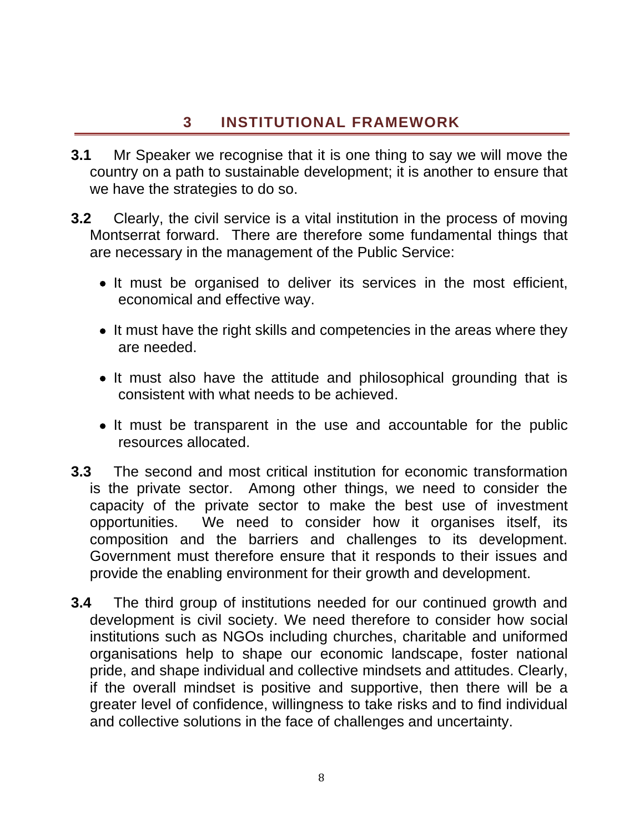### **3 INSTITUTIONAL FRAMEWORK**

- <span id="page-7-0"></span>**3.1** Mr Speaker we recognise that it is one thing to say we will move the country on a path to sustainable development; it is another to ensure that we have the strategies to do so.
- **3.2** Clearly, the civil service is a vital institution in the process of moving Montserrat forward. There are therefore some fundamental things that are necessary in the management of the Public Service:
	- It must be organised to deliver its services in the most efficient, economical and effective way.
	- It must have the right skills and competencies in the areas where they are needed.
	- It must also have the attitude and philosophical grounding that is consistent with what needs to be achieved.
	- It must be transparent in the use and accountable for the public resources allocated.
- **3.3** The second and most critical institution for economic transformation is the private sector. Among other things, we need to consider the capacity of the private sector to make the best use of investment opportunities. We need to consider how it organises itself, its composition and the barriers and challenges to its development. Government must therefore ensure that it responds to their issues and provide the enabling environment for their growth and development.
- **3.4** The third group of institutions needed for our continued growth and development is civil society. We need therefore to consider how social institutions such as NGOs including churches, charitable and uniformed organisations help to shape our economic landscape, foster national pride, and shape individual and collective mindsets and attitudes. Clearly, if the overall mindset is positive and supportive, then there will be a greater level of confidence, willingness to take risks and to find individual and collective solutions in the face of challenges and uncertainty.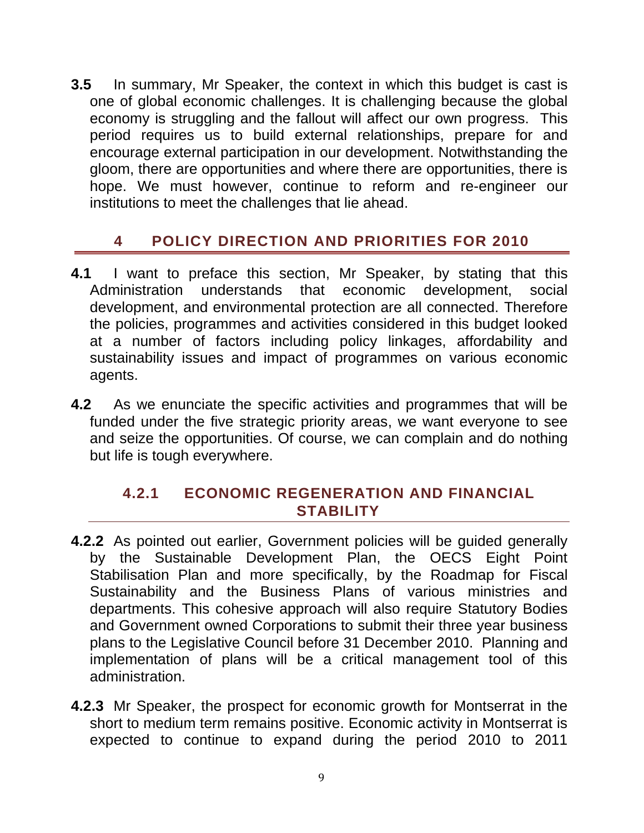**3.5** In summary, Mr Speaker, the context in which this budget is cast is one of global economic challenges. It is challenging because the global economy is struggling and the fallout will affect our own progress. This period requires us to build external relationships, prepare for and encourage external participation in our development. Notwithstanding the gloom, there are opportunities and where there are opportunities, there is hope. We must however, continue to reform and re-engineer our institutions to meet the challenges that lie ahead.

### <span id="page-8-0"></span>**4 POLICY DIRECTION AND PRIORITIES FOR 2010**

- **4.1** I want to preface this section, Mr Speaker, by stating that this Administration understands that economic development, social development, and environmental protection are all connected. Therefore the policies, programmes and activities considered in this budget looked at a number of factors including policy linkages, affordability and sustainability issues and impact of programmes on various economic agents.
- **4.2** As we enunciate the specific activities and programmes that will be funded under the five strategic priority areas, we want everyone to see and seize the opportunities. Of course, we can complain and do nothing but life is tough everywhere.

### <span id="page-8-1"></span>**4.2.1 ECONOMIC REGENERATION AND FINANCIAL STABILITY**

- **4.2.2** As pointed out earlier, Government policies will be guided generally by the Sustainable Development Plan, the OECS Eight Point Stabilisation Plan and more specifically, by the Roadmap for Fiscal Sustainability and the Business Plans of various ministries and departments. This cohesive approach will also require Statutory Bodies and Government owned Corporations to submit their three year business plans to the Legislative Council before 31 December 2010. Planning and implementation of plans will be a critical management tool of this administration.
- **4.2.3** Mr Speaker, the prospect for economic growth for Montserrat in the short to medium term remains positive. Economic activity in Montserrat is expected to continue to expand during the period 2010 to 2011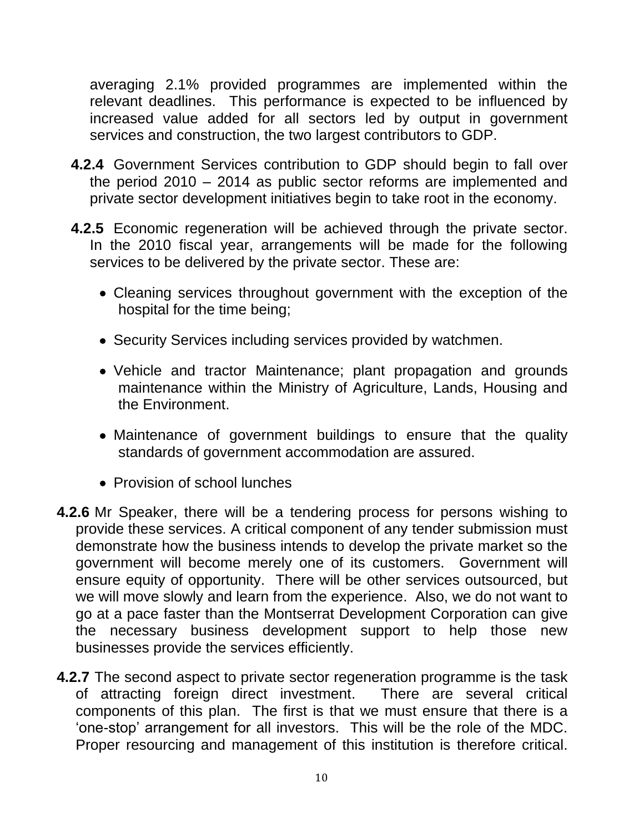averaging 2.1% provided programmes are implemented within the relevant deadlines. This performance is expected to be influenced by increased value added for all sectors led by output in government services and construction, the two largest contributors to GDP.

- **4.2.4** Government Services contribution to GDP should begin to fall over the period 2010 – 2014 as public sector reforms are implemented and private sector development initiatives begin to take root in the economy.
- **4.2.5** Economic regeneration will be achieved through the private sector. In the 2010 fiscal year, arrangements will be made for the following services to be delivered by the private sector. These are:
	- Cleaning services throughout government with the exception of the hospital for the time being;
	- Security Services including services provided by watchmen.
	- Vehicle and tractor Maintenance; plant propagation and grounds maintenance within the Ministry of Agriculture, Lands, Housing and the Environment.
	- Maintenance of government buildings to ensure that the quality standards of government accommodation are assured.
	- Provision of school lunches
- **4.2.6** Mr Speaker, there will be a tendering process for persons wishing to provide these services. A critical component of any tender submission must demonstrate how the business intends to develop the private market so the government will become merely one of its customers. Government will ensure equity of opportunity. There will be other services outsourced, but we will move slowly and learn from the experience. Also, we do not want to go at a pace faster than the Montserrat Development Corporation can give the necessary business development support to help those new businesses provide the services efficiently.
- **4.2.7** The second aspect to private sector regeneration programme is the task of attracting foreign direct investment. There are several critical components of this plan. The first is that we must ensure that there is a "one-stop" arrangement for all investors. This will be the role of the MDC. Proper resourcing and management of this institution is therefore critical.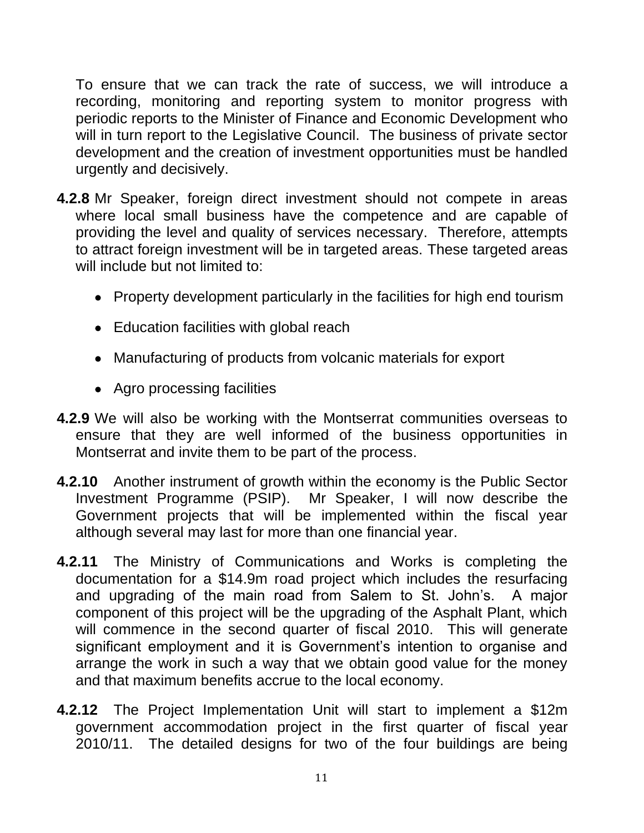To ensure that we can track the rate of success, we will introduce a recording, monitoring and reporting system to monitor progress with periodic reports to the Minister of Finance and Economic Development who will in turn report to the Legislative Council. The business of private sector development and the creation of investment opportunities must be handled urgently and decisively.

- **4.2.8** Mr Speaker, foreign direct investment should not compete in areas where local small business have the competence and are capable of providing the level and quality of services necessary. Therefore, attempts to attract foreign investment will be in targeted areas. These targeted areas will include but not limited to:
	- Property development particularly in the facilities for high end tourism
	- Education facilities with global reach
	- Manufacturing of products from volcanic materials for export
	- Agro processing facilities
- **4.2.9** We will also be working with the Montserrat communities overseas to ensure that they are well informed of the business opportunities in Montserrat and invite them to be part of the process.
- **4.2.10** Another instrument of growth within the economy is the Public Sector Investment Programme (PSIP). Mr Speaker, I will now describe the Government projects that will be implemented within the fiscal year although several may last for more than one financial year.
- **4.2.11** The Ministry of Communications and Works is completing the documentation for a \$14.9m road project which includes the resurfacing and upgrading of the main road from Salem to St. John"s. A major component of this project will be the upgrading of the Asphalt Plant, which will commence in the second quarter of fiscal 2010. This will generate significant employment and it is Government's intention to organise and arrange the work in such a way that we obtain good value for the money and that maximum benefits accrue to the local economy.
- **4.2.12** The Project Implementation Unit will start to implement a \$12m government accommodation project in the first quarter of fiscal year 2010/11. The detailed designs for two of the four buildings are being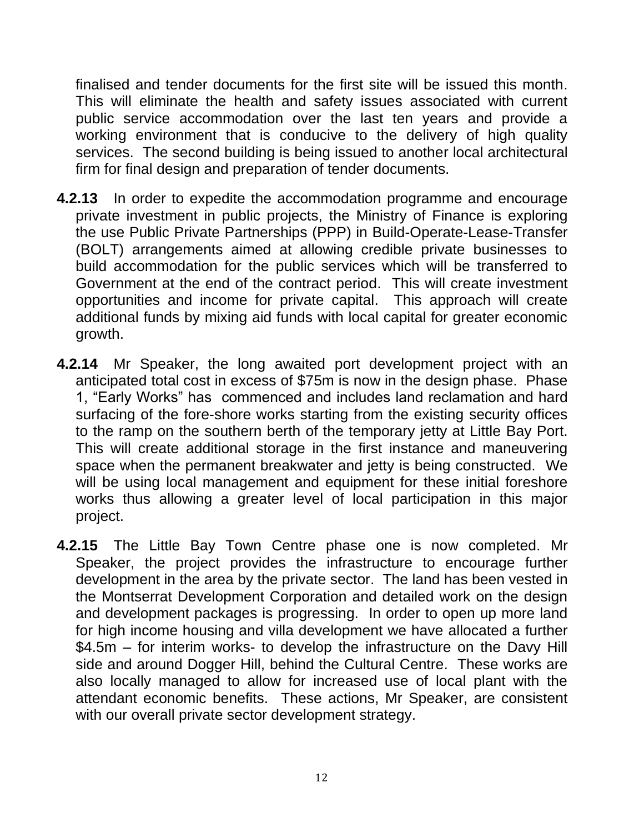finalised and tender documents for the first site will be issued this month. This will eliminate the health and safety issues associated with current public service accommodation over the last ten years and provide a working environment that is conducive to the delivery of high quality services. The second building is being issued to another local architectural firm for final design and preparation of tender documents.

- **4.2.13** In order to expedite the accommodation programme and encourage private investment in public projects, the Ministry of Finance is exploring the use Public Private Partnerships (PPP) in Build-Operate-Lease-Transfer (BOLT) arrangements aimed at allowing credible private businesses to build accommodation for the public services which will be transferred to Government at the end of the contract period. This will create investment opportunities and income for private capital. This approach will create additional funds by mixing aid funds with local capital for greater economic growth.
- **4.2.14** Mr Speaker, the long awaited port development project with an anticipated total cost in excess of \$75m is now in the design phase. Phase 1, "Early Works" has commenced and includes land reclamation and hard surfacing of the fore-shore works starting from the existing security offices to the ramp on the southern berth of the temporary jetty at Little Bay Port. This will create additional storage in the first instance and maneuvering space when the permanent breakwater and jetty is being constructed. We will be using local management and equipment for these initial foreshore works thus allowing a greater level of local participation in this major project.
- **4.2.15** The Little Bay Town Centre phase one is now completed. Mr Speaker, the project provides the infrastructure to encourage further development in the area by the private sector. The land has been vested in the Montserrat Development Corporation and detailed work on the design and development packages is progressing. In order to open up more land for high income housing and villa development we have allocated a further \$4.5m – for interim works- to develop the infrastructure on the Davy Hill side and around Dogger Hill, behind the Cultural Centre. These works are also locally managed to allow for increased use of local plant with the attendant economic benefits. These actions, Mr Speaker, are consistent with our overall private sector development strategy.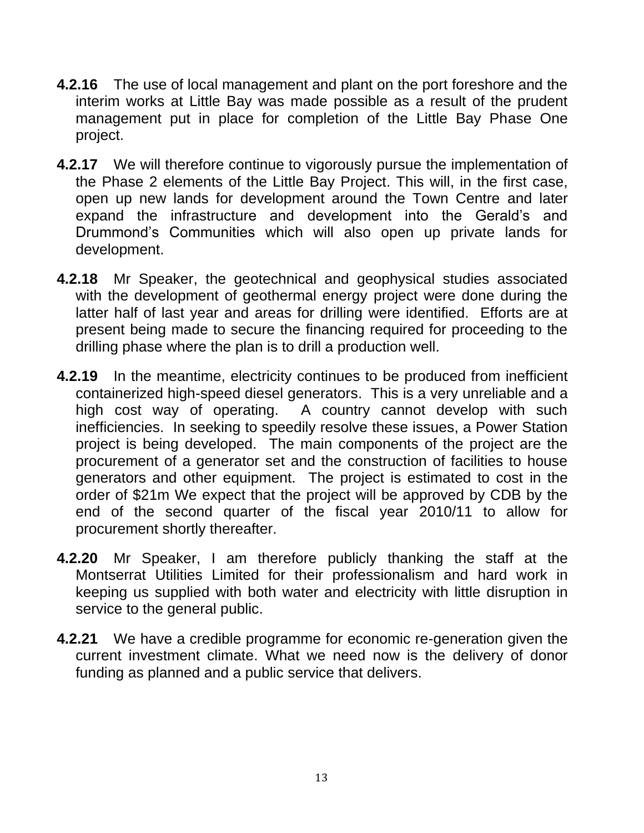- **4.2.16** The use of local management and plant on the port foreshore and the interim works at Little Bay was made possible as a result of the prudent management put in place for completion of the Little Bay Phase One project.
- **4.2.17** We will therefore continue to vigorously pursue the implementation of the Phase 2 elements of the Little Bay Project. This will, in the first case, open up new lands for development around the Town Centre and later expand the infrastructure and development into the Gerald"s and Drummond"s Communities which will also open up private lands for development.
- **4.2.18** Mr Speaker, the geotechnical and geophysical studies associated with the development of geothermal energy project were done during the latter half of last year and areas for drilling were identified. Efforts are at present being made to secure the financing required for proceeding to the drilling phase where the plan is to drill a production well.
- **4.2.19** In the meantime, electricity continues to be produced from inefficient containerized high-speed diesel generators. This is a very unreliable and a high cost way of operating. A country cannot develop with such inefficiencies. In seeking to speedily resolve these issues, a Power Station project is being developed. The main components of the project are the procurement of a generator set and the construction of facilities to house generators and other equipment. The project is estimated to cost in the order of \$21m We expect that the project will be approved by CDB by the end of the second quarter of the fiscal year 2010/11 to allow for procurement shortly thereafter.
- **4.2.20** Mr Speaker, I am therefore publicly thanking the staff at the Montserrat Utilities Limited for their professionalism and hard work in keeping us supplied with both water and electricity with little disruption in service to the general public.
- **4.2.21** We have a credible programme for economic re-generation given the current investment climate. What we need now is the delivery of donor funding as planned and a public service that delivers.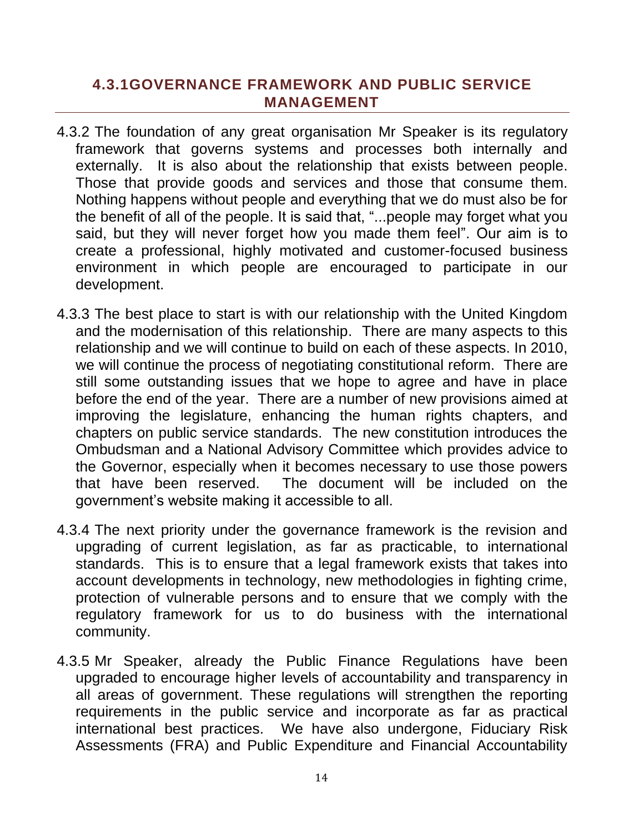#### <span id="page-13-0"></span>**4.3.1GOVERNANCE FRAMEWORK AND PUBLIC SERVICE MANAGEMENT**

- 4.3.2 The foundation of any great organisation Mr Speaker is its regulatory framework that governs systems and processes both internally and externally. It is also about the relationship that exists between people. Those that provide goods and services and those that consume them. Nothing happens without people and everything that we do must also be for the benefit of all of the people. It is said that, "...people may forget what you said, but they will never forget how you made them feel". Our aim is to create a professional, highly motivated and customer-focused business environment in which people are encouraged to participate in our development.
- 4.3.3 The best place to start is with our relationship with the United Kingdom and the modernisation of this relationship. There are many aspects to this relationship and we will continue to build on each of these aspects. In 2010, we will continue the process of negotiating constitutional reform. There are still some outstanding issues that we hope to agree and have in place before the end of the year. There are a number of new provisions aimed at improving the legislature, enhancing the human rights chapters, and chapters on public service standards. The new constitution introduces the Ombudsman and a National Advisory Committee which provides advice to the Governor, especially when it becomes necessary to use those powers that have been reserved. The document will be included on the government"s website making it accessible to all.
- 4.3.4 The next priority under the governance framework is the revision and upgrading of current legislation, as far as practicable, to international standards. This is to ensure that a legal framework exists that takes into account developments in technology, new methodologies in fighting crime, protection of vulnerable persons and to ensure that we comply with the regulatory framework for us to do business with the international community.
- 4.3.5 Mr Speaker, already the Public Finance Regulations have been upgraded to encourage higher levels of accountability and transparency in all areas of government. These regulations will strengthen the reporting requirements in the public service and incorporate as far as practical international best practices. We have also undergone, Fiduciary Risk Assessments (FRA) and Public Expenditure and Financial Accountability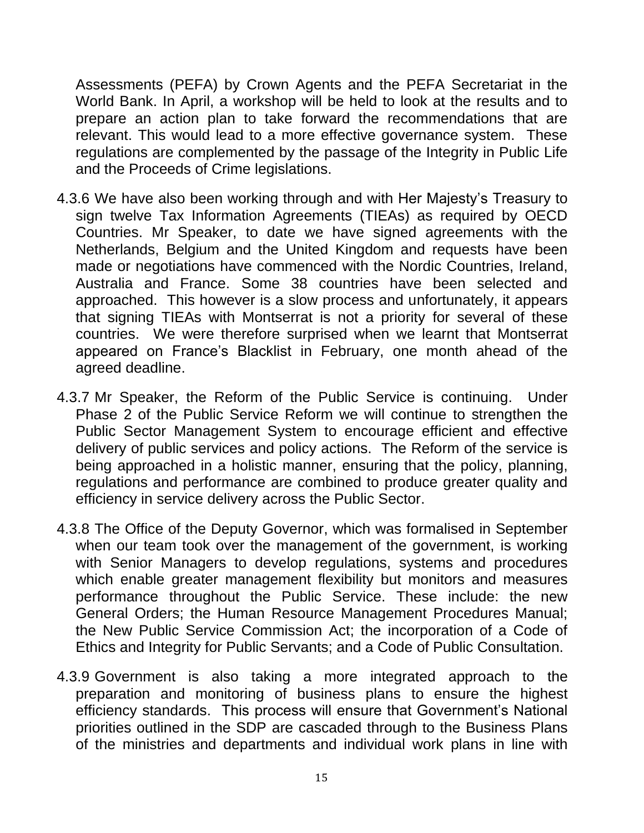Assessments (PEFA) by Crown Agents and the PEFA Secretariat in the World Bank. In April, a workshop will be held to look at the results and to prepare an action plan to take forward the recommendations that are relevant. This would lead to a more effective governance system. These regulations are complemented by the passage of the Integrity in Public Life and the Proceeds of Crime legislations.

- 4.3.6 We have also been working through and with Her Majesty"s Treasury to sign twelve Tax Information Agreements (TIEAs) as required by OECD Countries. Mr Speaker, to date we have signed agreements with the Netherlands, Belgium and the United Kingdom and requests have been made or negotiations have commenced with the Nordic Countries, Ireland, Australia and France. Some 38 countries have been selected and approached. This however is a slow process and unfortunately, it appears that signing TIEAs with Montserrat is not a priority for several of these countries. We were therefore surprised when we learnt that Montserrat appeared on France"s Blacklist in February, one month ahead of the agreed deadline.
- 4.3.7 Mr Speaker, the Reform of the Public Service is continuing. Under Phase 2 of the Public Service Reform we will continue to strengthen the Public Sector Management System to encourage efficient and effective delivery of public services and policy actions. The Reform of the service is being approached in a holistic manner, ensuring that the policy, planning, regulations and performance are combined to produce greater quality and efficiency in service delivery across the Public Sector.
- 4.3.8 The Office of the Deputy Governor, which was formalised in September when our team took over the management of the government, is working with Senior Managers to develop regulations, systems and procedures which enable greater management flexibility but monitors and measures performance throughout the Public Service. These include: the new General Orders; the Human Resource Management Procedures Manual; the New Public Service Commission Act; the incorporation of a Code of Ethics and Integrity for Public Servants; and a Code of Public Consultation.
- 4.3.9 Government is also taking a more integrated approach to the preparation and monitoring of business plans to ensure the highest efficiency standards. This process will ensure that Government's National priorities outlined in the SDP are cascaded through to the Business Plans of the ministries and departments and individual work plans in line with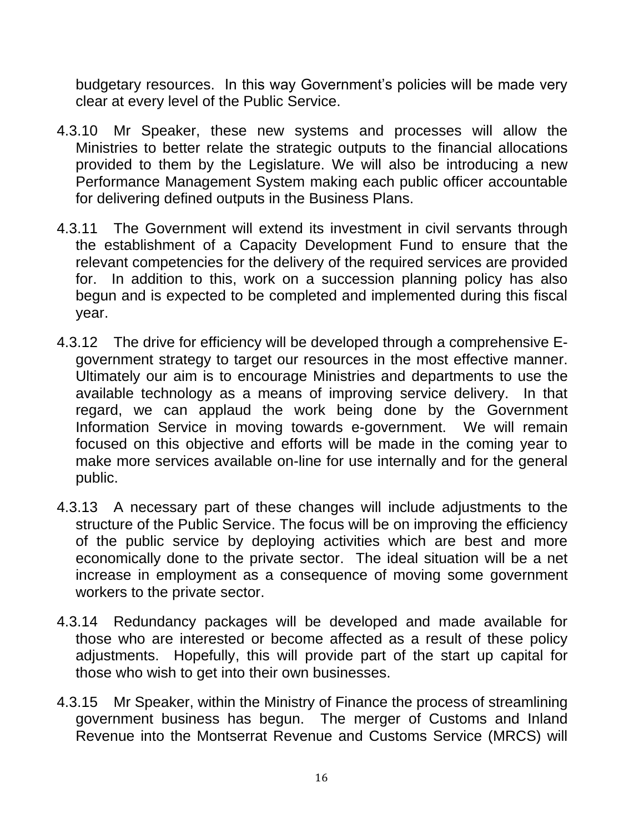budgetary resources. In this way Government"s policies will be made very clear at every level of the Public Service.

- 4.3.10 Mr Speaker, these new systems and processes will allow the Ministries to better relate the strategic outputs to the financial allocations provided to them by the Legislature. We will also be introducing a new Performance Management System making each public officer accountable for delivering defined outputs in the Business Plans.
- 4.3.11 The Government will extend its investment in civil servants through the establishment of a Capacity Development Fund to ensure that the relevant competencies for the delivery of the required services are provided for. In addition to this, work on a succession planning policy has also begun and is expected to be completed and implemented during this fiscal year.
- 4.3.12 The drive for efficiency will be developed through a comprehensive Egovernment strategy to target our resources in the most effective manner. Ultimately our aim is to encourage Ministries and departments to use the available technology as a means of improving service delivery. In that regard, we can applaud the work being done by the Government Information Service in moving towards e-government. We will remain focused on this objective and efforts will be made in the coming year to make more services available on-line for use internally and for the general public.
- 4.3.13 A necessary part of these changes will include adjustments to the structure of the Public Service. The focus will be on improving the efficiency of the public service by deploying activities which are best and more economically done to the private sector. The ideal situation will be a net increase in employment as a consequence of moving some government workers to the private sector.
- 4.3.14 Redundancy packages will be developed and made available for those who are interested or become affected as a result of these policy adjustments. Hopefully, this will provide part of the start up capital for those who wish to get into their own businesses.
- 4.3.15 Mr Speaker, within the Ministry of Finance the process of streamlining government business has begun. The merger of Customs and Inland Revenue into the Montserrat Revenue and Customs Service (MRCS) will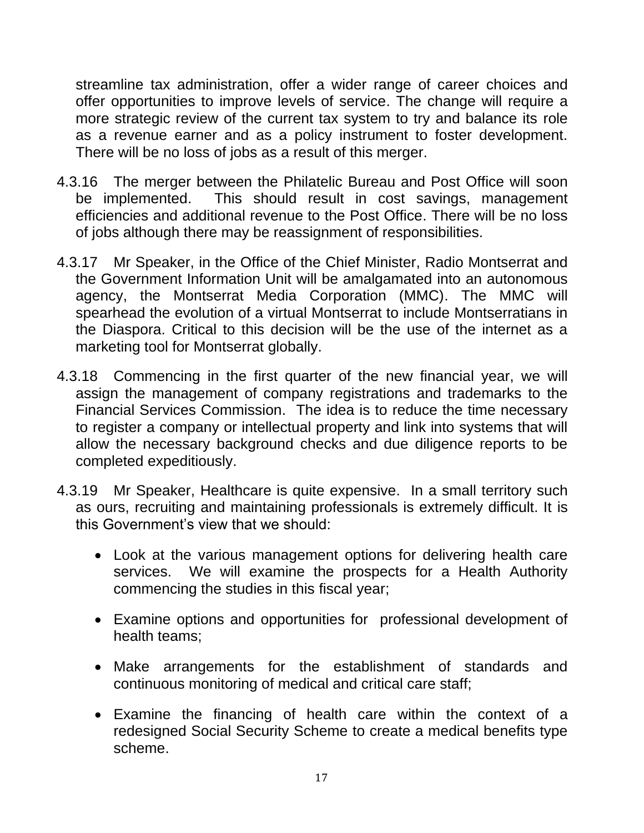streamline tax administration, offer a wider range of career choices and offer opportunities to improve levels of service. The change will require a more strategic review of the current tax system to try and balance its role as a revenue earner and as a policy instrument to foster development. There will be no loss of jobs as a result of this merger.

- 4.3.16 The merger between the Philatelic Bureau and Post Office will soon be implemented. This should result in cost savings, management efficiencies and additional revenue to the Post Office. There will be no loss of jobs although there may be reassignment of responsibilities.
- 4.3.17 Mr Speaker, in the Office of the Chief Minister, Radio Montserrat and the Government Information Unit will be amalgamated into an autonomous agency, the Montserrat Media Corporation (MMC). The MMC will spearhead the evolution of a virtual Montserrat to include Montserratians in the Diaspora. Critical to this decision will be the use of the internet as a marketing tool for Montserrat globally.
- 4.3.18 Commencing in the first quarter of the new financial year, we will assign the management of company registrations and trademarks to the Financial Services Commission. The idea is to reduce the time necessary to register a company or intellectual property and link into systems that will allow the necessary background checks and due diligence reports to be completed expeditiously.
- 4.3.19 Mr Speaker, Healthcare is quite expensive. In a small territory such as ours, recruiting and maintaining professionals is extremely difficult. It is this Government"s view that we should:
	- Look at the various management options for delivering health care services. We will examine the prospects for a Health Authority commencing the studies in this fiscal year;
	- Examine options and opportunities for professional development of health teams;
	- Make arrangements for the establishment of standards and continuous monitoring of medical and critical care staff;
	- Examine the financing of health care within the context of a redesigned Social Security Scheme to create a medical benefits type scheme.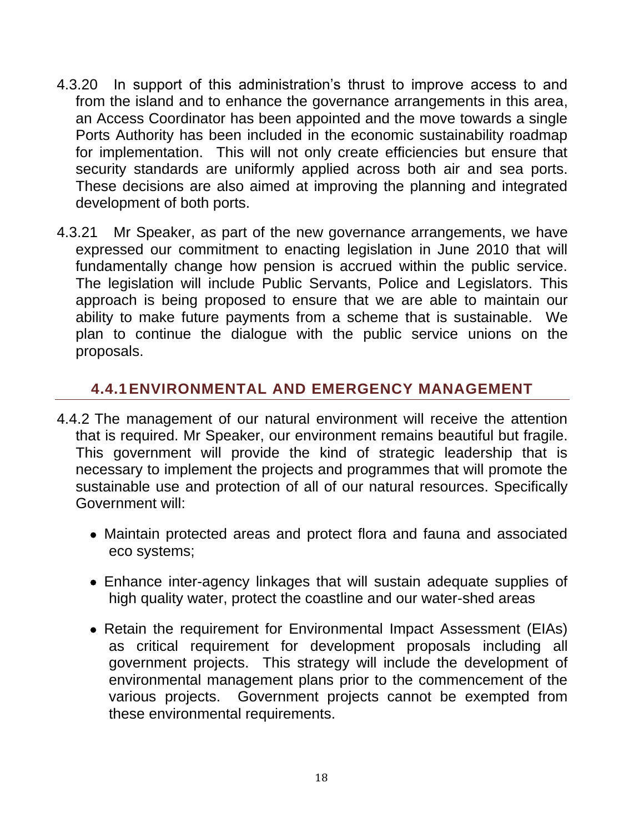- 4.3.20 In support of this administration"s thrust to improve access to and from the island and to enhance the governance arrangements in this area, an Access Coordinator has been appointed and the move towards a single Ports Authority has been included in the economic sustainability roadmap for implementation. This will not only create efficiencies but ensure that security standards are uniformly applied across both air and sea ports. These decisions are also aimed at improving the planning and integrated development of both ports.
- 4.3.21 Mr Speaker, as part of the new governance arrangements, we have expressed our commitment to enacting legislation in June 2010 that will fundamentally change how pension is accrued within the public service. The legislation will include Public Servants, Police and Legislators. This approach is being proposed to ensure that we are able to maintain our ability to make future payments from a scheme that is sustainable. We plan to continue the dialogue with the public service unions on the proposals.

### <span id="page-17-0"></span>**4.4.1ENVIRONMENTAL AND EMERGENCY MANAGEMENT**

- 4.4.2 The management of our natural environment will receive the attention that is required. Mr Speaker, our environment remains beautiful but fragile. This government will provide the kind of strategic leadership that is necessary to implement the projects and programmes that will promote the sustainable use and protection of all of our natural resources. Specifically Government will:
	- Maintain protected areas and protect flora and fauna and associated eco systems;
	- Enhance inter-agency linkages that will sustain adequate supplies of high quality water, protect the coastline and our water-shed areas
	- Retain the requirement for Environmental Impact Assessment (EIAs) as critical requirement for development proposals including all government projects. This strategy will include the development of environmental management plans prior to the commencement of the various projects. Government projects cannot be exempted from these environmental requirements.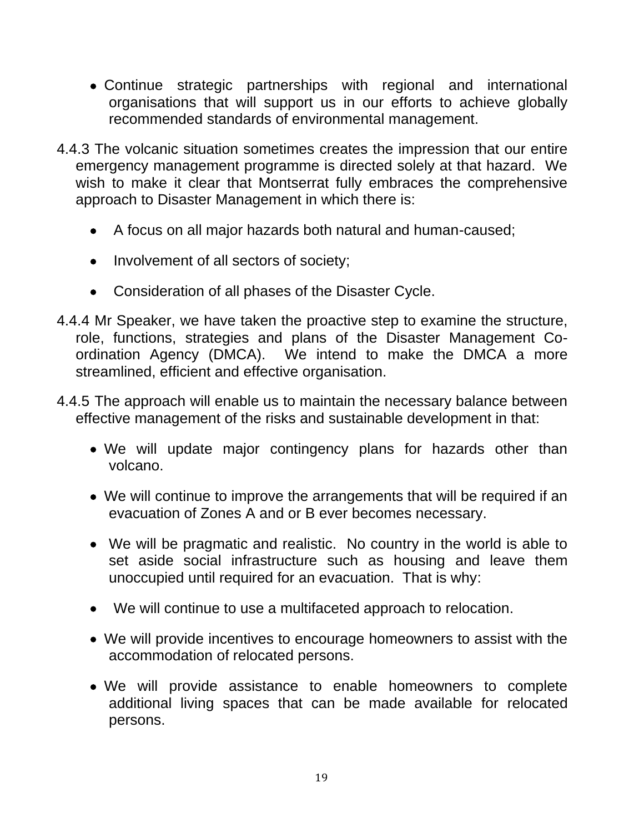- Continue strategic partnerships with regional and international organisations that will support us in our efforts to achieve globally recommended standards of environmental management.
- 4.4.3 The volcanic situation sometimes creates the impression that our entire emergency management programme is directed solely at that hazard. We wish to make it clear that Montserrat fully embraces the comprehensive approach to Disaster Management in which there is:
	- A focus on all major hazards both natural and human-caused;
	- Involvement of all sectors of society;
	- Consideration of all phases of the Disaster Cycle.
- 4.4.4 Mr Speaker, we have taken the proactive step to examine the structure, role, functions, strategies and plans of the Disaster Management Coordination Agency (DMCA). We intend to make the DMCA a more streamlined, efficient and effective organisation.
- 4.4.5 The approach will enable us to maintain the necessary balance between effective management of the risks and sustainable development in that:
	- We will update major contingency plans for hazards other than volcano.
	- We will continue to improve the arrangements that will be required if an evacuation of Zones A and or B ever becomes necessary.
	- We will be pragmatic and realistic. No country in the world is able to set aside social infrastructure such as housing and leave them unoccupied until required for an evacuation. That is why:
	- We will continue to use a multifaceted approach to relocation.
	- We will provide incentives to encourage homeowners to assist with the accommodation of relocated persons.
	- We will provide assistance to enable homeowners to complete additional living spaces that can be made available for relocated persons.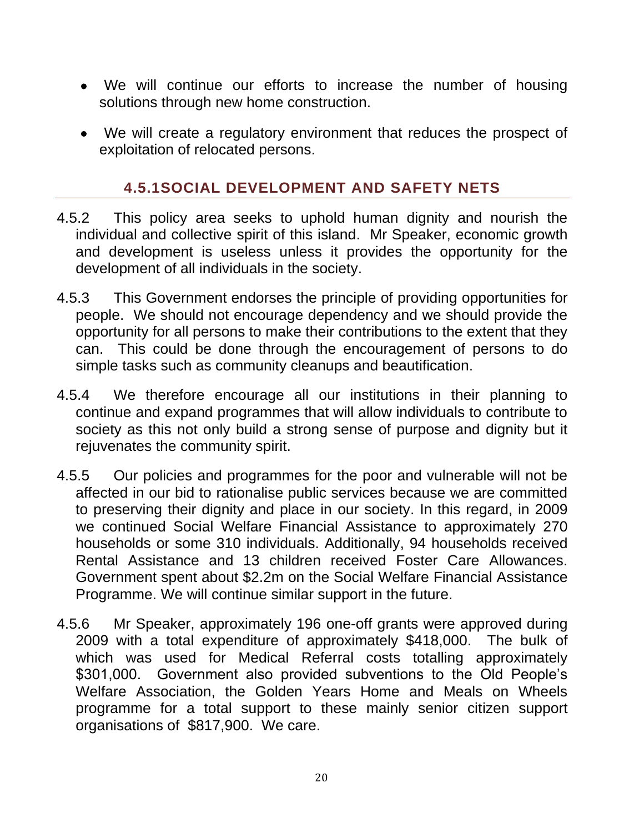- We will continue our efforts to increase the number of housing solutions through new home construction.
- We will create a regulatory environment that reduces the prospect of exploitation of relocated persons.

#### **4.5.1SOCIAL DEVELOPMENT AND SAFETY NETS**

- <span id="page-19-0"></span>4.5.2 This policy area seeks to uphold human dignity and nourish the individual and collective spirit of this island. Mr Speaker, economic growth and development is useless unless it provides the opportunity for the development of all individuals in the society.
- 4.5.3 This Government endorses the principle of providing opportunities for people. We should not encourage dependency and we should provide the opportunity for all persons to make their contributions to the extent that they can. This could be done through the encouragement of persons to do simple tasks such as community cleanups and beautification.
- 4.5.4 We therefore encourage all our institutions in their planning to continue and expand programmes that will allow individuals to contribute to society as this not only build a strong sense of purpose and dignity but it rejuvenates the community spirit.
- 4.5.5 Our policies and programmes for the poor and vulnerable will not be affected in our bid to rationalise public services because we are committed to preserving their dignity and place in our society. In this regard, in 2009 we continued Social Welfare Financial Assistance to approximately 270 households or some 310 individuals. Additionally, 94 households received Rental Assistance and 13 children received Foster Care Allowances. Government spent about \$2.2m on the Social Welfare Financial Assistance Programme. We will continue similar support in the future.
- 4.5.6 Mr Speaker, approximately 196 one-off grants were approved during 2009 with a total expenditure of approximately \$418,000. The bulk of which was used for Medical Referral costs totalling approximately \$301,000. Government also provided subventions to the Old People's Welfare Association, the Golden Years Home and Meals on Wheels programme for a total support to these mainly senior citizen support organisations of \$817,900. We care.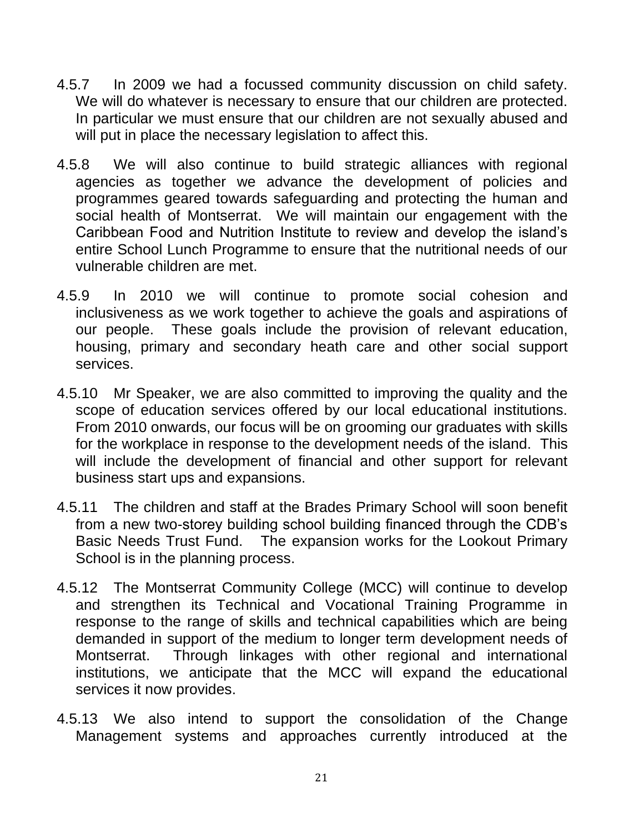- 4.5.7 In 2009 we had a focussed community discussion on child safety. We will do whatever is necessary to ensure that our children are protected. In particular we must ensure that our children are not sexually abused and will put in place the necessary legislation to affect this.
- 4.5.8 We will also continue to build strategic alliances with regional agencies as together we advance the development of policies and programmes geared towards safeguarding and protecting the human and social health of Montserrat. We will maintain our engagement with the Caribbean Food and Nutrition Institute to review and develop the island"s entire School Lunch Programme to ensure that the nutritional needs of our vulnerable children are met.
- 4.5.9 In 2010 we will continue to promote social cohesion and inclusiveness as we work together to achieve the goals and aspirations of our people. These goals include the provision of relevant education, housing, primary and secondary heath care and other social support services.
- 4.5.10 Mr Speaker, we are also committed to improving the quality and the scope of education services offered by our local educational institutions. From 2010 onwards, our focus will be on grooming our graduates with skills for the workplace in response to the development needs of the island. This will include the development of financial and other support for relevant business start ups and expansions.
- 4.5.11 The children and staff at the Brades Primary School will soon benefit from a new two-storey building school building financed through the CDB"s Basic Needs Trust Fund. The expansion works for the Lookout Primary School is in the planning process.
- 4.5.12 The Montserrat Community College (MCC) will continue to develop and strengthen its Technical and Vocational Training Programme in response to the range of skills and technical capabilities which are being demanded in support of the medium to longer term development needs of Montserrat. Through linkages with other regional and international institutions, we anticipate that the MCC will expand the educational services it now provides.
- 4.5.13 We also intend to support the consolidation of the Change Management systems and approaches currently introduced at the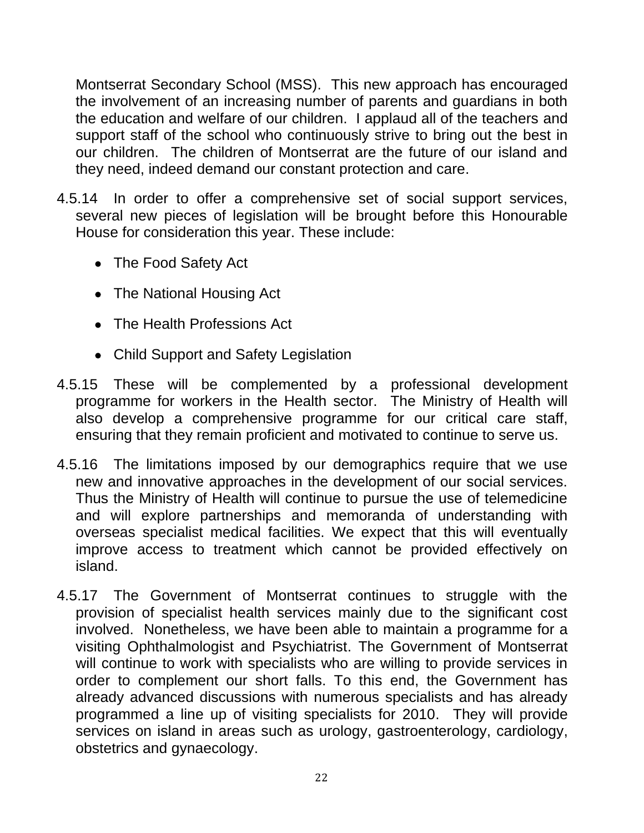Montserrat Secondary School (MSS). This new approach has encouraged the involvement of an increasing number of parents and guardians in both the education and welfare of our children. I applaud all of the teachers and support staff of the school who continuously strive to bring out the best in our children. The children of Montserrat are the future of our island and they need, indeed demand our constant protection and care.

- 4.5.14 In order to offer a comprehensive set of social support services, several new pieces of legislation will be brought before this Honourable House for consideration this year. These include:
	- The Food Safety Act
	- The National Housing Act
	- The Health Professions Act
	- Child Support and Safety Legislation
- 4.5.15 These will be complemented by a professional development programme for workers in the Health sector. The Ministry of Health will also develop a comprehensive programme for our critical care staff, ensuring that they remain proficient and motivated to continue to serve us.
- 4.5.16 The limitations imposed by our demographics require that we use new and innovative approaches in the development of our social services. Thus the Ministry of Health will continue to pursue the use of telemedicine and will explore partnerships and memoranda of understanding with overseas specialist medical facilities. We expect that this will eventually improve access to treatment which cannot be provided effectively on island.
- 4.5.17 The Government of Montserrat continues to struggle with the provision of specialist health services mainly due to the significant cost involved. Nonetheless, we have been able to maintain a programme for a visiting Ophthalmologist and Psychiatrist. The Government of Montserrat will continue to work with specialists who are willing to provide services in order to complement our short falls. To this end, the Government has already advanced discussions with numerous specialists and has already programmed a line up of visiting specialists for 2010. They will provide services on island in areas such as urology, gastroenterology, cardiology, obstetrics and gynaecology.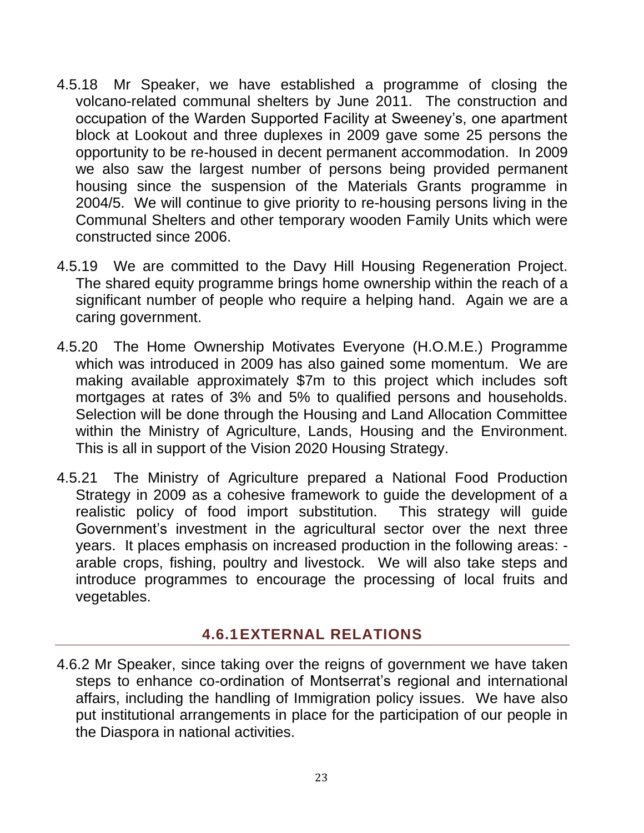- 4.5.18 Mr Speaker, we have established a programme of closing the volcano-related communal shelters by June 2011. The construction and occupation of the Warden Supported Facility at Sweeney"s, one apartment block at Lookout and three duplexes in 2009 gave some 25 persons the opportunity to be re-housed in decent permanent accommodation. In 2009 we also saw the largest number of persons being provided permanent housing since the suspension of the Materials Grants programme in 2004/5. We will continue to give priority to re-housing persons living in the Communal Shelters and other temporary wooden Family Units which were constructed since 2006.
- 4.5.19 We are committed to the Davy Hill Housing Regeneration Project. The shared equity programme brings home ownership within the reach of a significant number of people who require a helping hand. Again we are a caring government.
- 4.5.20 The Home Ownership Motivates Everyone (H.O.M.E.) Programme which was introduced in 2009 has also gained some momentum. We are making available approximately \$7m to this project which includes soft mortgages at rates of 3% and 5% to qualified persons and households. Selection will be done through the Housing and Land Allocation Committee within the Ministry of Agriculture, Lands, Housing and the Environment. This is all in support of the Vision 2020 Housing Strategy.
- 4.5.21 The Ministry of Agriculture prepared a National Food Production Strategy in 2009 as a cohesive framework to guide the development of a realistic policy of food import substitution. This strategy will guide Government's investment in the agricultural sector over the next three years. It places emphasis on increased production in the following areas: arable crops, fishing, poultry and livestock. We will also take steps and introduce programmes to encourage the processing of local fruits and vegetables.

### **4.6.1EXTERNAL RELATIONS**

<span id="page-22-0"></span>4.6.2 Mr Speaker, since taking over the reigns of government we have taken steps to enhance co-ordination of Montserrat's regional and international affairs, including the handling of Immigration policy issues. We have also put institutional arrangements in place for the participation of our people in the Diaspora in national activities.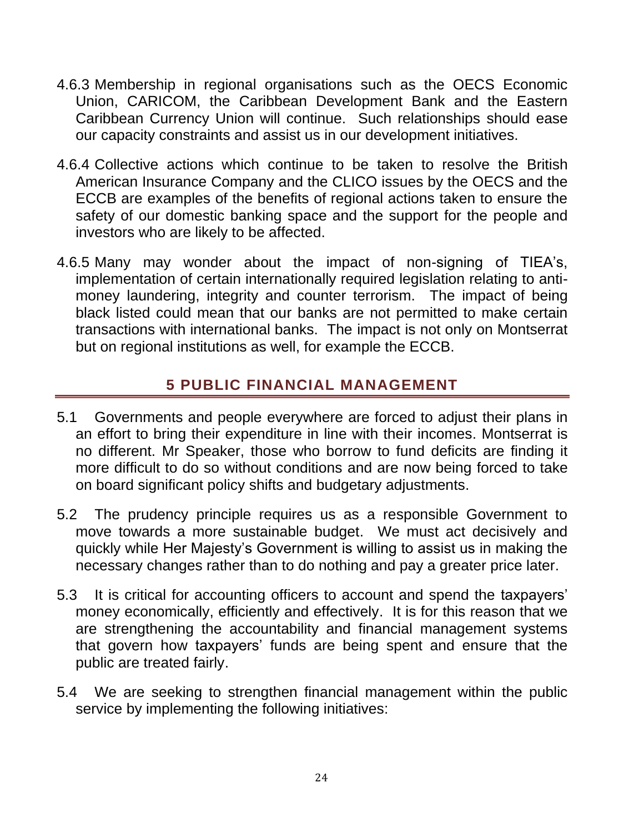- 4.6.3 Membership in regional organisations such as the OECS Economic Union, CARICOM, the Caribbean Development Bank and the Eastern Caribbean Currency Union will continue. Such relationships should ease our capacity constraints and assist us in our development initiatives.
- 4.6.4 Collective actions which continue to be taken to resolve the British American Insurance Company and the CLICO issues by the OECS and the ECCB are examples of the benefits of regional actions taken to ensure the safety of our domestic banking space and the support for the people and investors who are likely to be affected.
- 4.6.5 Many may wonder about the impact of non-signing of TIEA"s, implementation of certain internationally required legislation relating to antimoney laundering, integrity and counter terrorism. The impact of being black listed could mean that our banks are not permitted to make certain transactions with international banks. The impact is not only on Montserrat but on regional institutions as well, for example the ECCB.

### **5 PUBLIC FINANCIAL MANAGEMENT**

- <span id="page-23-0"></span>5.1 Governments and people everywhere are forced to adjust their plans in an effort to bring their expenditure in line with their incomes. Montserrat is no different. Mr Speaker, those who borrow to fund deficits are finding it more difficult to do so without conditions and are now being forced to take on board significant policy shifts and budgetary adjustments.
- 5.2 The prudency principle requires us as a responsible Government to move towards a more sustainable budget. We must act decisively and quickly while Her Majesty"s Government is willing to assist us in making the necessary changes rather than to do nothing and pay a greater price later.
- 5.3 It is critical for accounting officers to account and spend the taxpayers" money economically, efficiently and effectively. It is for this reason that we are strengthening the accountability and financial management systems that govern how taxpayers' funds are being spent and ensure that the public are treated fairly.
- 5.4 We are seeking to strengthen financial management within the public service by implementing the following initiatives: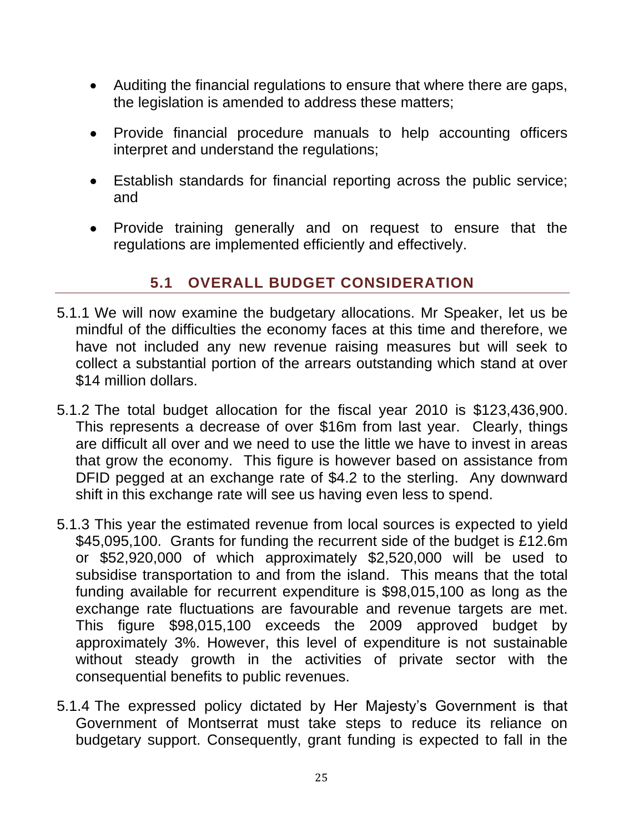- Auditing the financial regulations to ensure that where there are gaps, the legislation is amended to address these matters;
- Provide financial procedure manuals to help accounting officers interpret and understand the regulations;
- Establish standards for financial reporting across the public service; and
- Provide training generally and on request to ensure that the regulations are implemented efficiently and effectively.

### **5.1 OVERALL BUDGET CONSIDERATION**

- <span id="page-24-0"></span>5.1.1 We will now examine the budgetary allocations. Mr Speaker, let us be mindful of the difficulties the economy faces at this time and therefore, we have not included any new revenue raising measures but will seek to collect a substantial portion of the arrears outstanding which stand at over \$14 million dollars.
- 5.1.2 The total budget allocation for the fiscal year 2010 is \$123,436,900. This represents a decrease of over \$16m from last year. Clearly, things are difficult all over and we need to use the little we have to invest in areas that grow the economy. This figure is however based on assistance from DFID pegged at an exchange rate of \$4.2 to the sterling. Any downward shift in this exchange rate will see us having even less to spend.
- 5.1.3 This year the estimated revenue from local sources is expected to yield \$45,095,100. Grants for funding the recurrent side of the budget is £12.6m or \$52,920,000 of which approximately \$2,520,000 will be used to subsidise transportation to and from the island. This means that the total funding available for recurrent expenditure is \$98,015,100 as long as the exchange rate fluctuations are favourable and revenue targets are met. This figure \$98,015,100 exceeds the 2009 approved budget by approximately 3%. However, this level of expenditure is not sustainable without steady growth in the activities of private sector with the consequential benefits to public revenues.
- 5.1.4 The expressed policy dictated by Her Majesty"s Government is that Government of Montserrat must take steps to reduce its reliance on budgetary support. Consequently, grant funding is expected to fall in the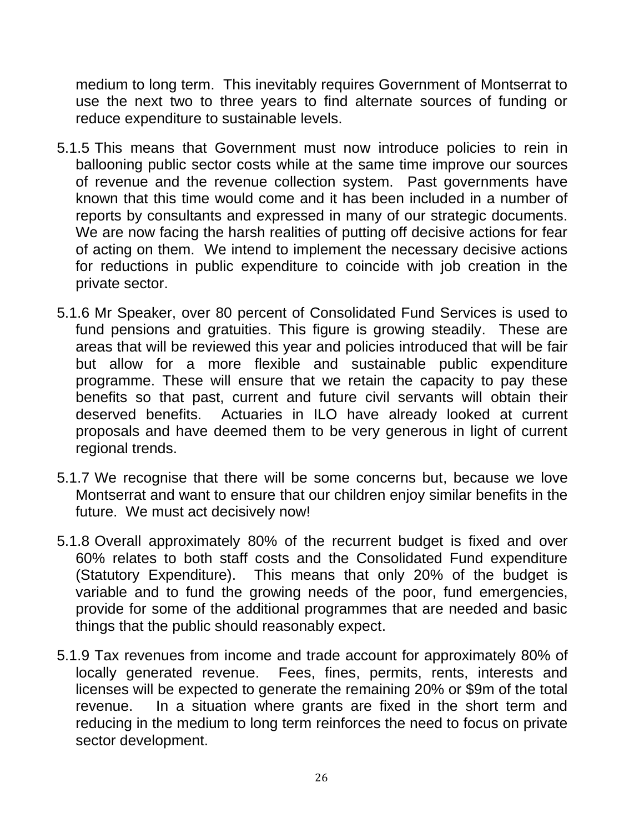medium to long term. This inevitably requires Government of Montserrat to use the next two to three years to find alternate sources of funding or reduce expenditure to sustainable levels.

- 5.1.5 This means that Government must now introduce policies to rein in ballooning public sector costs while at the same time improve our sources of revenue and the revenue collection system. Past governments have known that this time would come and it has been included in a number of reports by consultants and expressed in many of our strategic documents. We are now facing the harsh realities of putting off decisive actions for fear of acting on them. We intend to implement the necessary decisive actions for reductions in public expenditure to coincide with job creation in the private sector.
- 5.1.6 Mr Speaker, over 80 percent of Consolidated Fund Services is used to fund pensions and gratuities. This figure is growing steadily. These are areas that will be reviewed this year and policies introduced that will be fair but allow for a more flexible and sustainable public expenditure programme. These will ensure that we retain the capacity to pay these benefits so that past, current and future civil servants will obtain their deserved benefits. Actuaries in ILO have already looked at current proposals and have deemed them to be very generous in light of current regional trends.
- 5.1.7 We recognise that there will be some concerns but, because we love Montserrat and want to ensure that our children enjoy similar benefits in the future. We must act decisively now!
- 5.1.8 Overall approximately 80% of the recurrent budget is fixed and over 60% relates to both staff costs and the Consolidated Fund expenditure (Statutory Expenditure). This means that only 20% of the budget is variable and to fund the growing needs of the poor, fund emergencies, provide for some of the additional programmes that are needed and basic things that the public should reasonably expect.
- 5.1.9 Tax revenues from income and trade account for approximately 80% of locally generated revenue. Fees, fines, permits, rents, interests and licenses will be expected to generate the remaining 20% or \$9m of the total revenue. In a situation where grants are fixed in the short term and reducing in the medium to long term reinforces the need to focus on private sector development.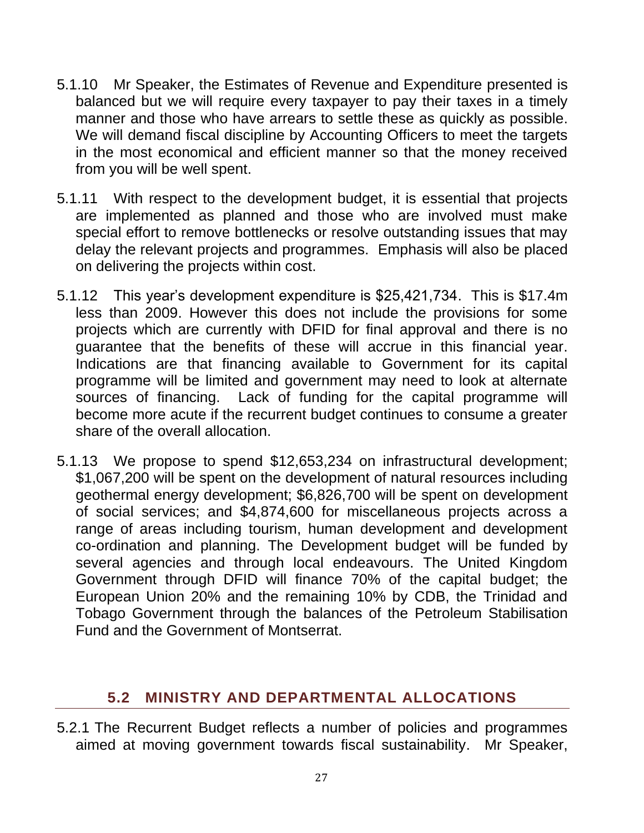- 5.1.10 Mr Speaker, the Estimates of Revenue and Expenditure presented is balanced but we will require every taxpayer to pay their taxes in a timely manner and those who have arrears to settle these as quickly as possible. We will demand fiscal discipline by Accounting Officers to meet the targets in the most economical and efficient manner so that the money received from you will be well spent.
- 5.1.11 With respect to the development budget, it is essential that projects are implemented as planned and those who are involved must make special effort to remove bottlenecks or resolve outstanding issues that may delay the relevant projects and programmes. Emphasis will also be placed on delivering the projects within cost.
- 5.1.12 This year"s development expenditure is \$25,421,734. This is \$17.4m less than 2009. However this does not include the provisions for some projects which are currently with DFID for final approval and there is no guarantee that the benefits of these will accrue in this financial year. Indications are that financing available to Government for its capital programme will be limited and government may need to look at alternate sources of financing. Lack of funding for the capital programme will become more acute if the recurrent budget continues to consume a greater share of the overall allocation.
- 5.1.13 We propose to spend \$12,653,234 on infrastructural development; \$1,067,200 will be spent on the development of natural resources including geothermal energy development; \$6,826,700 will be spent on development of social services; and \$4,874,600 for miscellaneous projects across a range of areas including tourism, human development and development co-ordination and planning. The Development budget will be funded by several agencies and through local endeavours. The United Kingdom Government through DFID will finance 70% of the capital budget; the European Union 20% and the remaining 10% by CDB, the Trinidad and Tobago Government through the balances of the Petroleum Stabilisation Fund and the Government of Montserrat.

### <span id="page-26-0"></span>**5.2 MINISTRY AND DEPARTMENTAL ALLOCATIONS**

5.2.1 The Recurrent Budget reflects a number of policies and programmes aimed at moving government towards fiscal sustainability. Mr Speaker,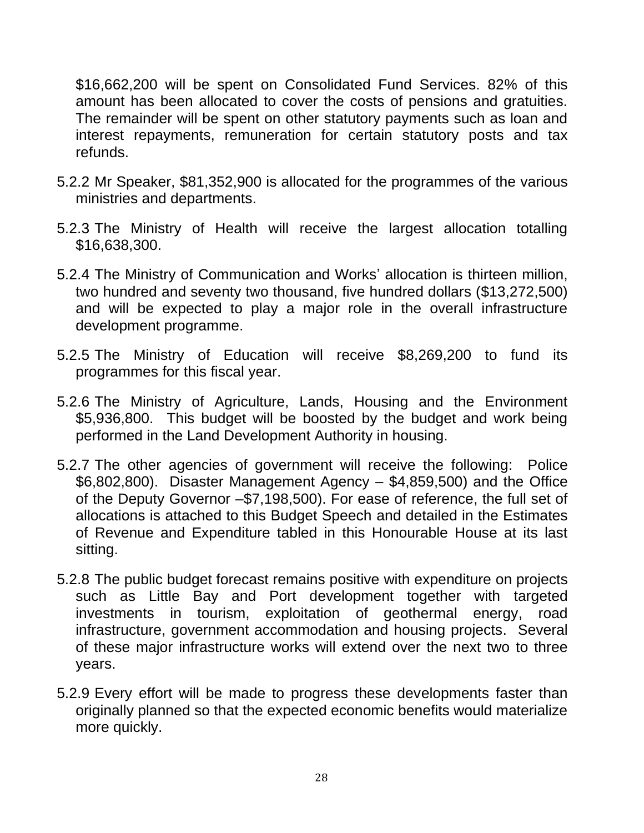\$16,662,200 will be spent on Consolidated Fund Services. 82% of this amount has been allocated to cover the costs of pensions and gratuities. The remainder will be spent on other statutory payments such as loan and interest repayments, remuneration for certain statutory posts and tax refunds.

- 5.2.2 Mr Speaker, \$81,352,900 is allocated for the programmes of the various ministries and departments.
- 5.2.3 The Ministry of Health will receive the largest allocation totalling \$16,638,300.
- 5.2.4 The Ministry of Communication and Works" allocation is thirteen million, two hundred and seventy two thousand, five hundred dollars (\$13,272,500) and will be expected to play a major role in the overall infrastructure development programme.
- 5.2.5 The Ministry of Education will receive \$8,269,200 to fund its programmes for this fiscal year.
- 5.2.6 The Ministry of Agriculture, Lands, Housing and the Environment \$5,936,800. This budget will be boosted by the budget and work being performed in the Land Development Authority in housing.
- 5.2.7 The other agencies of government will receive the following: Police \$6,802,800). Disaster Management Agency – \$4,859,500) and the Office of the Deputy Governor –\$7,198,500). For ease of reference, the full set of allocations is attached to this Budget Speech and detailed in the Estimates of Revenue and Expenditure tabled in this Honourable House at its last sitting.
- 5.2.8 The public budget forecast remains positive with expenditure on projects such as Little Bay and Port development together with targeted investments in tourism, exploitation of geothermal energy, road infrastructure, government accommodation and housing projects. Several of these major infrastructure works will extend over the next two to three years.
- 5.2.9 Every effort will be made to progress these developments faster than originally planned so that the expected economic benefits would materialize more quickly.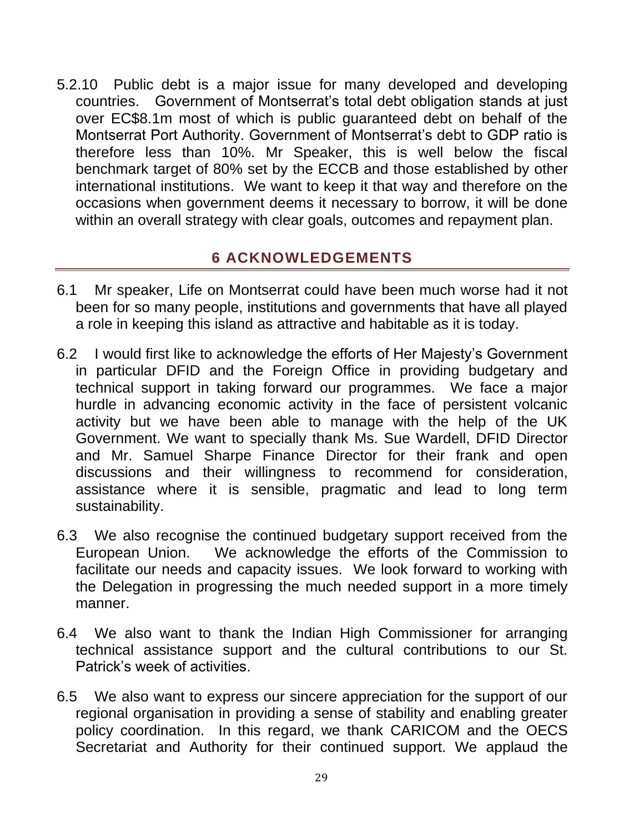5.2.10 Public debt is a major issue for many developed and developing countries. Government of Montserrat's total debt obligation stands at just over EC\$8.1m most of which is public guaranteed debt on behalf of the Montserrat Port Authority. Government of Montserrat's debt to GDP ratio is therefore less than 10%. Mr Speaker, this is well below the fiscal benchmark target of 80% set by the ECCB and those established by other international institutions. We want to keep it that way and therefore on the occasions when government deems it necessary to borrow, it will be done within an overall strategy with clear goals, outcomes and repayment plan.

#### **6 ACKNOWLEDGEMENTS**

- <span id="page-28-0"></span>6.1 Mr speaker, Life on Montserrat could have been much worse had it not been for so many people, institutions and governments that have all played a role in keeping this island as attractive and habitable as it is today.
- 6.2 I would first like to acknowledge the efforts of Her Majesty"s Government in particular DFID and the Foreign Office in providing budgetary and technical support in taking forward our programmes. We face a major hurdle in advancing economic activity in the face of persistent volcanic activity but we have been able to manage with the help of the UK Government. We want to specially thank Ms. Sue Wardell, DFID Director and Mr. Samuel Sharpe Finance Director for their frank and open discussions and their willingness to recommend for consideration, assistance where it is sensible, pragmatic and lead to long term sustainability.
- 6.3 We also recognise the continued budgetary support received from the European Union. We acknowledge the efforts of the Commission to facilitate our needs and capacity issues. We look forward to working with the Delegation in progressing the much needed support in a more timely manner.
- 6.4 We also want to thank the Indian High Commissioner for arranging technical assistance support and the cultural contributions to our St. Patrick"s week of activities.
- 6.5 We also want to express our sincere appreciation for the support of our regional organisation in providing a sense of stability and enabling greater policy coordination. In this regard, we thank CARICOM and the OECS Secretariat and Authority for their continued support. We applaud the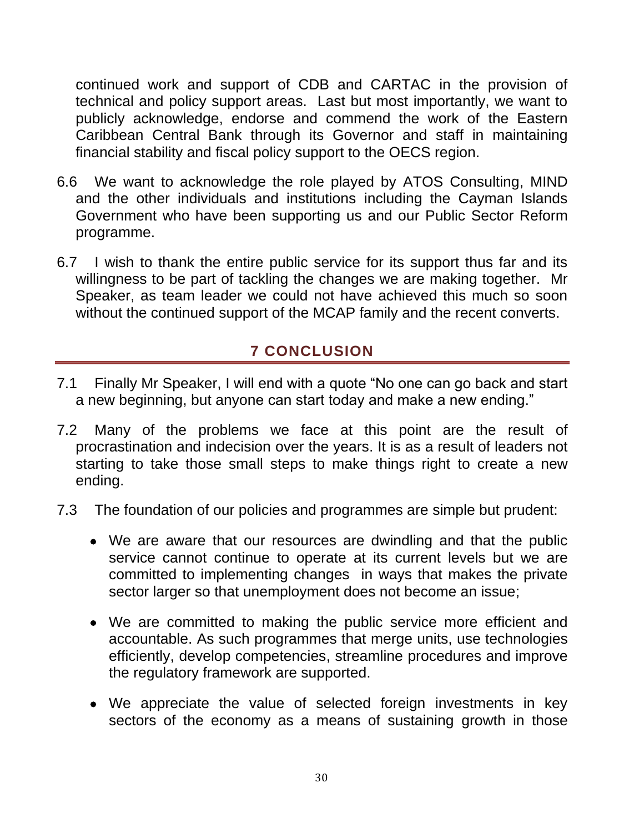continued work and support of CDB and CARTAC in the provision of technical and policy support areas. Last but most importantly, we want to publicly acknowledge, endorse and commend the work of the Eastern Caribbean Central Bank through its Governor and staff in maintaining financial stability and fiscal policy support to the OECS region.

- 6.6 We want to acknowledge the role played by ATOS Consulting, MIND and the other individuals and institutions including the Cayman Islands Government who have been supporting us and our Public Sector Reform programme.
- 6.7 I wish to thank the entire public service for its support thus far and its willingness to be part of tackling the changes we are making together. Mr Speaker, as team leader we could not have achieved this much so soon without the continued support of the MCAP family and the recent converts.

### **7 CONCLUSION**

- <span id="page-29-0"></span>7.1 Finally Mr Speaker, I will end with a quote "No one can go back and start a new beginning, but anyone can start today and make a new ending."
- 7.2 Many of the problems we face at this point are the result of procrastination and indecision over the years. It is as a result of leaders not starting to take those small steps to make things right to create a new ending.
- 7.3 The foundation of our policies and programmes are simple but prudent:
	- We are aware that our resources are dwindling and that the public service cannot continue to operate at its current levels but we are committed to implementing changes in ways that makes the private sector larger so that unemployment does not become an issue;
	- We are committed to making the public service more efficient and accountable. As such programmes that merge units, use technologies efficiently, develop competencies, streamline procedures and improve the regulatory framework are supported.
	- We appreciate the value of selected foreign investments in key sectors of the economy as a means of sustaining growth in those